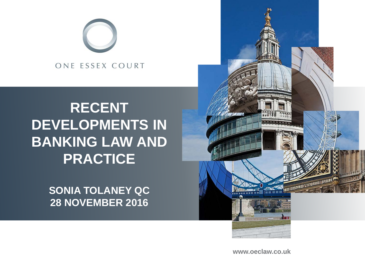

# **RECENT DEVELOPMENTS IN BANKING LAW AND PRACTICE**

**SONIA TOLANEY QC 28 NOVEMBER 2016**



**www.oeclaw.co.uk www.oeclaw.co.uk**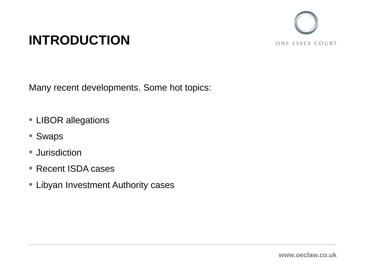

# **INTRODUCTION**

Many recent developments. Some hot topics:

- LIBOR allegations
- Swaps
- Jurisdiction
- Recent ISDA cases
- Libyan Investment Authority cases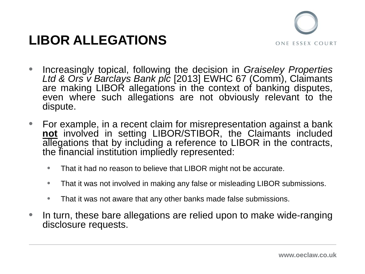## **LIBOR ALLEGATIONS**



- Increasingly topical, following the decision in *Graiseley Properties Ltd & Ors v Barclays Bank plc* [2013] EWHC 67 (Comm), Claimants are making LIBOR allegations in the context of banking disputes, even where such allegations are not obviously relevant to the dispute.
- For example, in a recent claim for misrepresentation against a bank **not** involved in setting LIBOR/STIBOR, the Claimants included allegations that by including a reference to LIBOR in the contracts, the financial institution impliedly represented:
	- That it had no reason to believe that LIBOR might not be accurate.
	- That it was not involved in making any false or misleading LIBOR submissions.
	- That it was not aware that any other banks made false submissions.
- In turn, these bare allegations are relied upon to make wide-ranging disclosure requests.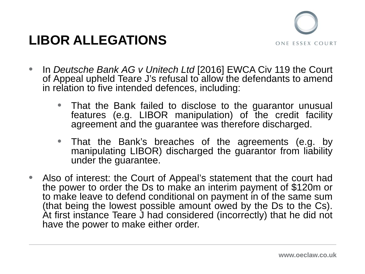## **LIBOR ALLEGATIONS**



- In *Deutsche Bank AG v Unitech Ltd* [2016] EWCA Civ 119 the Court of Appeal upheld Teare J's refusal to allow the defendants to amend in relation to five intended defences, including:
	- That the Bank failed to disclose to the guarantor unusual features (e.g. LIBOR manipulation) of the credit facility agreement and the guarantee was therefore discharged.
	- That the Bank's breaches of the agreements (e.g. by manipulating LIBOR) discharged the guarantor from liability under the guarantee.
- Also of interest: the Court of Appeal's statement that the court had the power to order the Ds to make an interim payment of \$120m or to make leave to defend conditional on payment in of the same sum<br>(that being the lowest possible amount owed by the Ds to the Cs). At first instance Teare J had considered (incorrectly) that he did not have the power to make either order.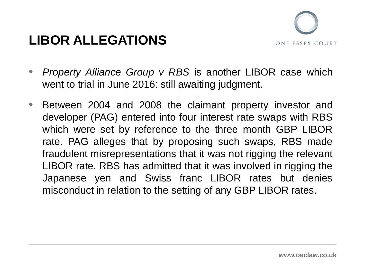## **LIBOR ALLEGATIONS**



- *Property Alliance Group v RBS* is another LIBOR case which went to trial in June 2016: still awaiting judgment.
- Between 2004 and 2008 the claimant property investor and developer (PAG) entered into four interest rate swaps with RBS which were set by reference to the three month GBP LIBOR rate. PAG alleges that by proposing such swaps, RBS made fraudulent misrepresentations that it was not rigging the relevant LIBOR rate. RBS has admitted that it was involved in rigging the Japanese yen and Swiss franc LIBOR rates but denies misconduct in relation to the setting of any GBP LIBOR rates.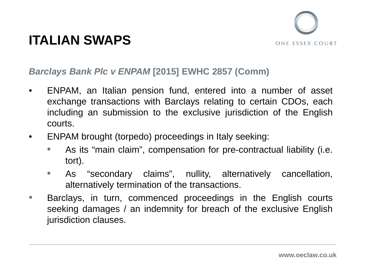

#### *Barclays Bank Plc v ENPAM* **[2015] EWHC 2857 (Comm)**

- ENPAM, an Italian pension fund, entered into a number of asset exchange transactions with Barclays relating to certain CDOs, each including an submission to the exclusive jurisdiction of the English courts.
- ENPAM brought (torpedo) proceedings in Italy seeking:
	- As its "main claim", compensation for pre-contractual liability (i.e. tort).
	- As "secondary claims", nullity, alternatively cancellation, alternatively termination of the transactions.
- Barclays, in turn, commenced proceedings in the English courts seeking damages / an indemnity for breach of the exclusive English jurisdiction clauses.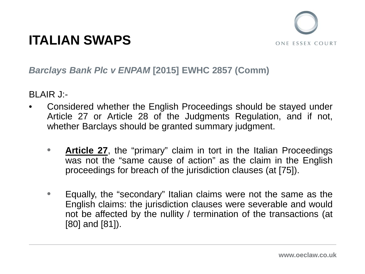

#### *Barclays Bank Plc v ENPAM* **[2015] EWHC 2857 (Comm)**

BLAIR J:-

- Considered whether the English Proceedings should be stayed under Article 27 or Article 28 of the Judgments Regulation, and if not, whether Barclays should be granted summary judgment.
	- **Article 27**, the "primary" claim in tort in the Italian Proceedings was not the "same cause of action" as the claim in the English proceedings for breach of the jurisdiction clauses (at [75]).
	- Equally, the "secondary" Italian claims were not the same as the English claims: the jurisdiction clauses were severable and would not be affected by the nullity / termination of the transactions (at [80] and [81]).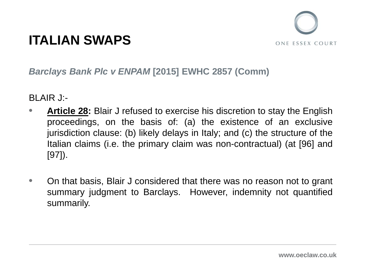

#### *Barclays Bank Plc v ENPAM* **[2015] EWHC 2857 (Comm)**

BLAIR J:-

- **Article 28:** Blair J refused to exercise his discretion to stay the English proceedings, on the basis of: (a) the existence of an exclusive jurisdiction clause: (b) likely delays in Italy; and (c) the structure of the Italian claims (i.e. the primary claim was non-contractual) (at [96] and [97]).
- On that basis, Blair J considered that there was no reason not to grant summary judgment to Barclays. However, indemnity not quantified summarily.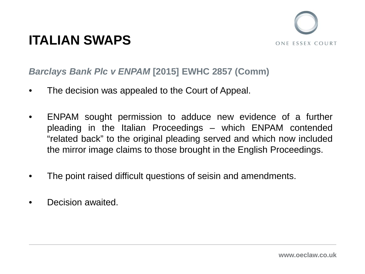

#### *Barclays Bank Plc v ENPAM* **[2015] EWHC 2857 (Comm)**

- The decision was appealed to the Court of Appeal.
- ENPAM sought permission to adduce new evidence of a further pleading in the Italian Proceedings – which ENPAM contended "related back" to the original pleading served and which now included the mirror image claims to those brought in the English Proceedings.
- The point raised difficult questions of seisin and amendments.
- Decision awaited.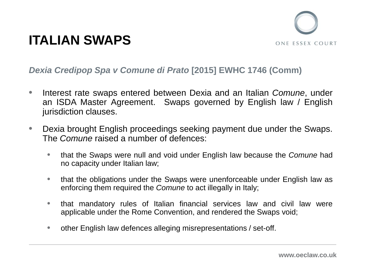

#### *Dexia Credipop Spa v Comune di Prato* **[2015] EWHC 1746 (Comm)**

- Interest rate swaps entered between Dexia and an Italian *Comune*, under an ISDA Master Agreement. Swaps governed by English law / English jurisdiction clauses.
- Dexia brought English proceedings seeking payment due under the Swaps. The *Comune* raised a number of defences:
	- that the Swaps were null and void under English law because the *Comune* had no capacity under Italian law;
	- that the obligations under the Swaps were unenforceable under English law as enforcing them required the *Comune* to act illegally in Italy;
	- that mandatory rules of Italian financial services law and civil law were applicable under the Rome Convention, and rendered the Swaps void;
	- other English law defences alleging misrepresentations / set-off.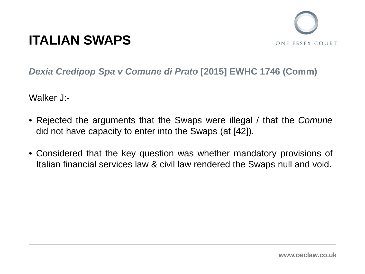

*Dexia Credipop Spa v Comune di Prato* **[2015] EWHC 1746 (Comm)**

Walker J<sup>-</sup>-

- Rejected the arguments that the Swaps were illegal / that the *Comune* did not have capacity to enter into the Swaps (at [42]).
- Considered that the key question was whether mandatory provisions of Italian financial services law & civil law rendered the Swaps null and void.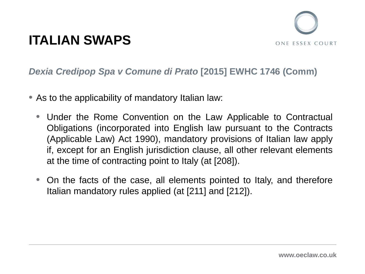

#### *Dexia Credipop Spa v Comune di Prato* **[2015] EWHC 1746 (Comm)**

- As to the applicability of mandatory Italian law:
	- Under the Rome Convention on the Law Applicable to Contractual Obligations (incorporated into English law pursuant to the Contracts (Applicable Law) Act 1990), mandatory provisions of Italian law apply if, except for an English jurisdiction clause, all other relevant elements at the time of contracting point to Italy (at [208]).
	- On the facts of the case, all elements pointed to Italy, and therefore Italian mandatory rules applied (at [211] and [212]).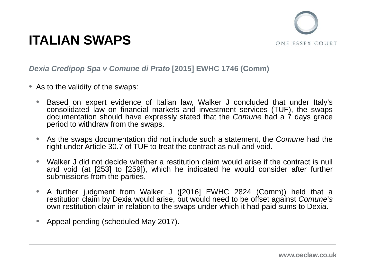

#### *Dexia Credipop Spa v Comune di Prato* **[2015] EWHC 1746 (Comm)**

- As to the validity of the swaps:
	- Based on expert evidence of Italian law, Walker J concluded that under Italy's consolidated law on financial markets and investment services (TUF), the swaps documentation should have expressly stated that the *Comune* had a 7 days grace period to withdraw from the swaps.
	- As the swaps documentation did not include such a statement, the *Comune* had the right under Article 30.7 of TUF to treat the contract as null and void.
	- Walker J did not decide whether a restitution claim would arise if the contract is null and void (at [253] to [259]), which he indicated he would consider after further submissions from the parties.
	- A further judgment from Walker J ([2016] EWHC 2824 (Comm)) held that a restitution claim by Dexia would arise, but would need to be offset against *Comune*'*s* own restitution claim in relation to the swaps under which it had paid sums to Dexia.
	- Appeal pending (scheduled May 2017).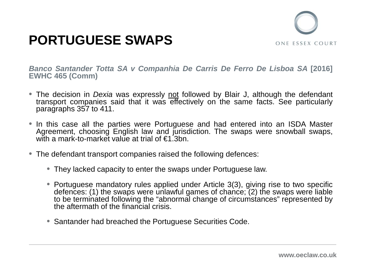



*Banco Santander Totta SA v Companhia De Carris De Ferro De Lisboa SA* **[2016] EWHC 465 (Comm)**

- The decision in *Dexia* was expressly not followed by Blair J, although the defendant transport companies said that it was effectively on the same facts. See particularly paragraphs 357 to 411.
- In this case all the parties were Portuguese and had entered into an ISDA Master Agreement, choosing English law and jurisdiction. The swaps were snowball swaps, with a mark-to-market value at trial of €1.3bn.
- The defendant transport companies raised the following defences:
	- They lacked capacity to enter the swaps under Portuguese law.
	- Portuguese mandatory rules applied under Article 3(3), giving rise to two specific defences: (1) the swaps were unlawful games of chance; (2) the swaps were liable to be terminated following the "abnormal change of circumstances" represented by the aftermath of the financial crisis.
	- Santander had breached the Portuguese Securities Code.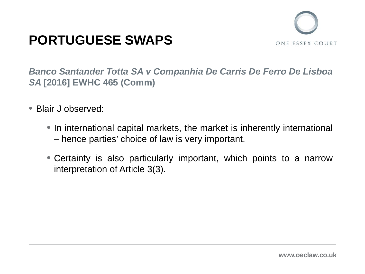## **PORTUGUESE SWAPS**



*Banco Santander Totta SA v Companhia De Carris De Ferro De Lisboa SA* **[2016] EWHC 465 (Comm)**

- Blair J observed:
	- In international capital markets, the market is inherently international – hence parties' choice of law is very important.
	- Certainty is also particularly important, which points to a narrow interpretation of Article 3(3).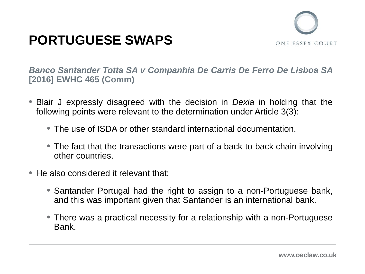## **PORTUGUESE SWAPS**



*Banco Santander Totta SA v Companhia De Carris De Ferro De Lisboa SA* **[2016] EWHC 465 (Comm)**

- Blair J expressly disagreed with the decision in *Dexia* in holding that the following points were relevant to the determination under Article 3(3):
	- The use of ISDA or other standard international documentation.
	- The fact that the transactions were part of a back-to-back chain involving other countries.
- He also considered it relevant that:
	- Santander Portugal had the right to assign to a non-Portuguese bank, and this was important given that Santander is an international bank.
	- There was a practical necessity for a relationship with a non-Portuguese Bank.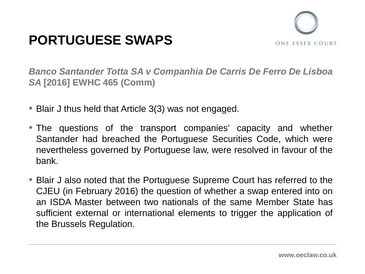## **PORTUGUESE SWAPS**



*Banco Santander Totta SA v Companhia De Carris De Ferro De Lisboa SA* **[2016] EWHC 465 (Comm)**

- Blair J thus held that Article 3(3) was not engaged.
- The questions of the transport companies' capacity and whether Santander had breached the Portuguese Securities Code, which were nevertheless governed by Portuguese law, were resolved in favour of the bank.
- Blair J also noted that the Portuguese Supreme Court has referred to the CJEU (in February 2016) the question of whether a swap entered into on an ISDA Master between two nationals of the same Member State has sufficient external or international elements to trigger the application of the Brussels Regulation.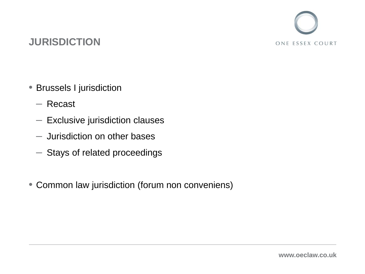

### **JURISDICTION**

- Brussels I jurisdiction
	- Recast
	- Exclusive jurisdiction clauses
	- Jurisdiction on other bases
	- Stays of related proceedings
- Common law jurisdiction (forum non conveniens)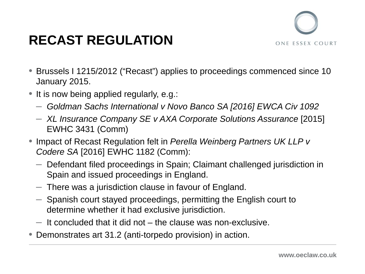

# **RECAST REGULATION**

- Brussels I 1215/2012 ("Recast") applies to proceedings commenced since 10 January 2015.
- It is now being applied regularly, e.g.:
	- *Goldman Sachs International v Novo Banco SA [2016] EWCA Civ 1092*
	- *XL Insurance Company SE v AXA Corporate Solutions Assurance* [2015] EWHC 3431 (Comm)
- Impact of Recast Regulation felt in *Perella Weinberg Partners UK LLP v Codere SA* [2016] EWHC 1182 (Comm):
	- Defendant filed proceedings in Spain; Claimant challenged jurisdiction in Spain and issued proceedings in England.
	- $-$  There was a jurisdiction clause in favour of England.
	- Spanish court stayed proceedings, permitting the English court to determine whether it had exclusive jurisdiction.
	- $-$  It concluded that it did not  $-$  the clause was non-exclusive.
- Demonstrates art 31.2 (anti-torpedo provision) in action.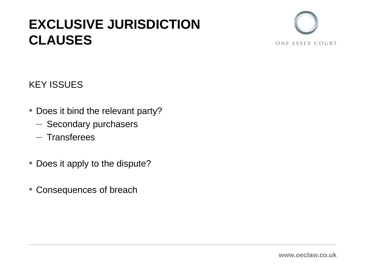## **EXCLUSIVE JURISDICTION CLAUSES**



### KEY ISSUES

- Does it bind the relevant party?
	- Secondary purchasers
	- Transferees
- Does it apply to the dispute?
- Consequences of breach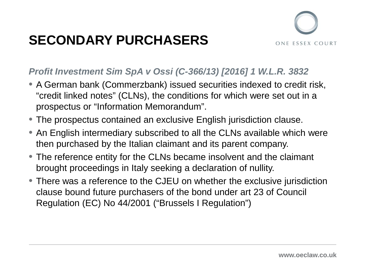# **SECONDARY PURCHASERS**



### *Profit Investment Sim SpA v Ossi (C-366/13) [2016] 1 W.L.R. 3832*

- A German bank (Commerzbank) issued securities indexed to credit risk, "credit linked notes" (CLNs), the conditions for which were set out in a prospectus or "Information Memorandum".
- The prospectus contained an exclusive English jurisdiction clause.
- An English intermediary subscribed to all the CLNs available which were then purchased by the Italian claimant and its parent company.
- The reference entity for the CLNs became insolvent and the claimant brought proceedings in Italy seeking a declaration of nullity.
- There was a reference to the CJEU on whether the exclusive jurisdiction clause bound future purchasers of the bond under art 23 of Council Regulation (EC) No 44/2001 ("Brussels I Regulation")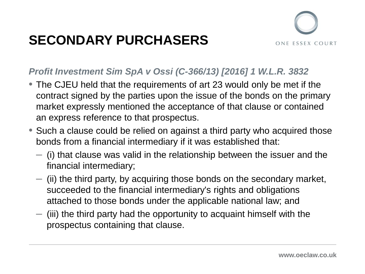# **SECONDARY PURCHASERS**



#### *Profit Investment Sim SpA v Ossi (C-366/13) [2016] 1 W.L.R. 3832*

- The CJEU held that the requirements of art 23 would only be met if the contract signed by the parties upon the issue of the bonds on the primary market expressly mentioned the acceptance of that clause or contained an express reference to that prospectus.
- Such a clause could be relied on against a third party who acquired those bonds from a financial intermediary if it was established that:
	- $-$  (i) that clause was valid in the relationship between the issuer and the financial intermediary;
	- $-$  (ii) the third party, by acquiring those bonds on the secondary market, succeeded to the financial intermediary's rights and obligations attached to those bonds under the applicable national law; and
	- $-$  (iii) the third party had the opportunity to acquaint himself with the prospectus containing that clause.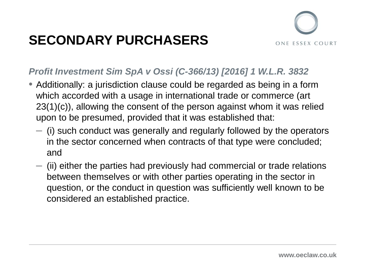# **SECONDARY PURCHASERS**



#### *Profit Investment Sim SpA v Ossi (C-366/13) [2016] 1 W.L.R. 3832*

- Additionally: a jurisdiction clause could be regarded as being in a form which accorded with a usage in international trade or commerce (art 23(1)(c)), allowing the consent of the person against whom it was relied upon to be presumed, provided that it was established that:
	- $-$  (i) such conduct was generally and regularly followed by the operators in the sector concerned when contracts of that type were concluded; and
	- $-$  (ii) either the parties had previously had commercial or trade relations between themselves or with other parties operating in the sector in question, or the conduct in question was sufficiently well known to be considered an established practice.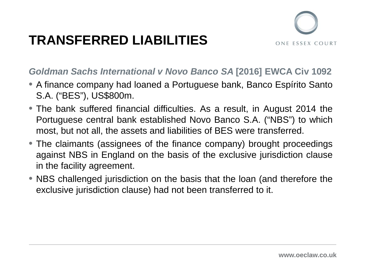# **TRANSFERRED LIABILITIES**



#### *Goldman Sachs International v Novo Banco SA* **[2016] EWCA Civ 1092**

- A finance company had loaned a Portuguese bank, Banco Espírito Santo S.A. ("BES"), US\$800m.
- The bank suffered financial difficulties. As a result, in August 2014 the Portuguese central bank established Novo Banco S.A. ("NBS") to which most, but not all, the assets and liabilities of BES were transferred.
- The claimants (assignees of the finance company) brought proceedings against NBS in England on the basis of the exclusive jurisdiction clause in the facility agreement.
- NBS challenged jurisdiction on the basis that the loan (and therefore the exclusive jurisdiction clause) had not been transferred to it.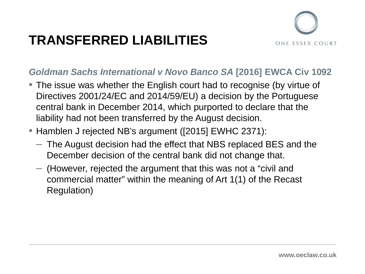# **TRANSFERRED LIABILITIES**



#### *Goldman Sachs International v Novo Banco SA* **[2016] EWCA Civ 1092**

- The issue was whether the English court had to recognise (by virtue of Directives 2001/24/EC and 2014/59/EU) a decision by the Portuguese central bank in December 2014, which purported to declare that the liability had not been transferred by the August decision.
- Hamblen J rejected NB's argument ([2015] EWHC 2371):
	- The August decision had the effect that NBS replaced BES and the December decision of the central bank did not change that.
	- (However, rejected the argument that this was not a "civil and commercial matter" within the meaning of Art 1(1) of the Recast Regulation)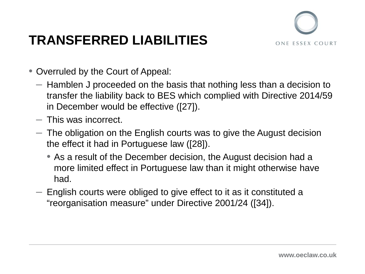# **TRANSFERRED LIABILITIES**



- Overruled by the Court of Appeal:
	- Hamblen J proceeded on the basis that nothing less than a decision to transfer the liability back to BES which complied with Directive 2014/59 in December would be effective ([27]).
	- This was incorrect.
	- $-$  The obligation on the English courts was to give the August decision the effect it had in Portuguese law ([28]).
		- As a result of the December decision, the August decision had a more limited effect in Portuguese law than it might otherwise have had.
	- English courts were obliged to give effect to it as it constituted a "reorganisation measure" under Directive 2001/24 ([34]).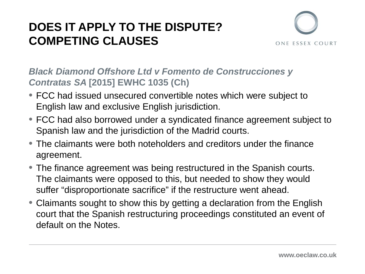### **DOES IT APPLY TO THE DISPUTE? COMPETING CLAUSES**



#### *Black Diamond Offshore Ltd v Fomento de Construcciones y Contratas SA* **[2015] EWHC 1035 (Ch)**

- FCC had issued unsecured convertible notes which were subject to English law and exclusive English jurisdiction.
- FCC had also borrowed under a syndicated finance agreement subject to Spanish law and the jurisdiction of the Madrid courts.
- The claimants were both noteholders and creditors under the finance agreement.
- The finance agreement was being restructured in the Spanish courts. The claimants were opposed to this, but needed to show they would suffer "disproportionate sacrifice" if the restructure went ahead.
- Claimants sought to show this by getting a declaration from the English court that the Spanish restructuring proceedings constituted an event of default on the Notes.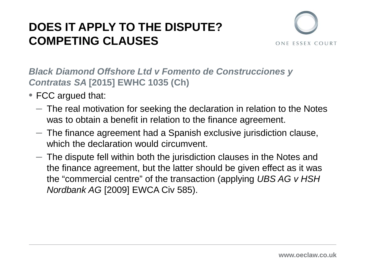### **DOES IT APPLY TO THE DISPUTE? COMPETING CLAUSES**



*Black Diamond Offshore Ltd v Fomento de Construcciones y Contratas SA* **[2015] EWHC 1035 (Ch)**

- FCC argued that:
	- $-$  The real motivation for seeking the declaration in relation to the Notes was to obtain a benefit in relation to the finance agreement.
	- $-$  The finance agreement had a Spanish exclusive jurisdiction clause, which the declaration would circumvent.
	- $-$  The dispute fell within both the jurisdiction clauses in the Notes and the finance agreement, but the latter should be given effect as it was the "commercial centre" of the transaction (applying *UBS AG v HSH Nordbank AG* [2009] EWCA Civ 585).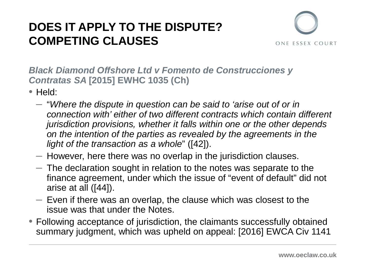### **DOES IT APPLY TO THE DISPUTE? COMPETING CLAUSES**



*Black Diamond Offshore Ltd v Fomento de Construcciones y Contratas SA* **[2015] EWHC 1035 (Ch)**

- Held:
	- "*Where the dispute in question can be said to 'arise out of or in connection with' either of two different contracts which contain different jurisdiction provisions, whether it falls within one or the other depends on the intention of the parties as revealed by the agreements in the light of the transaction as a whole*" ([42]).
	- However, here there was no overlap in the jurisdiction clauses.
	- $-$  The declaration sought in relation to the notes was separate to the finance agreement, under which the issue of "event of default" did not arise at all ([44]).
	- $-$  Even if there was an overlap, the clause which was closest to the issue was that under the Notes.
- Following acceptance of jurisdiction, the claimants successfully obtained summary judgment, which was upheld on appeal: [2016] EWCA Civ 1141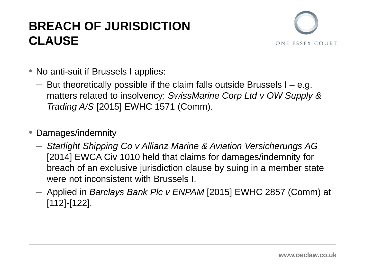### **BREACH OF JURISDICTION CLAUSE**



- No anti-suit if Brussels I applies:
	- $-$  But theoretically possible if the claim falls outside Brussels I e.g. matters related to insolvency: *SwissMarine Corp Ltd v OW Supply & Trading A/S* [2015] EWHC 1571 (Comm).
- Damages/indemnity
	- *Starlight Shipping Co v Allianz Marine & Aviation Versicherungs AG*  [2014] EWCA Civ 1010 held that claims for damages/indemnity for breach of an exclusive jurisdiction clause by suing in a member state were not inconsistent with Brussels I.
	- Applied in *Barclays Bank Plc v ENPAM* [2015] EWHC 2857 (Comm) at [112]-[122].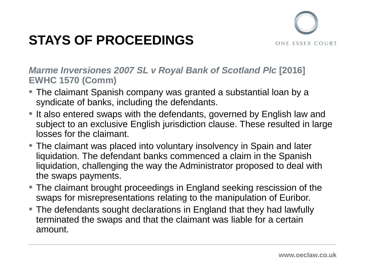

## **STAYS OF PROCEEDINGS**

*Marme Inversiones 2007 SL v Royal Bank of Scotland Plc* **[2016] EWHC 1570 (Comm)**

- The claimant Spanish company was granted a substantial loan by a syndicate of banks, including the defendants.
- It also entered swaps with the defendants, governed by English law and subject to an exclusive English jurisdiction clause. These resulted in large losses for the claimant.
- The claimant was placed into voluntary insolvency in Spain and later liquidation. The defendant banks commenced a claim in the Spanish liquidation, challenging the way the Administrator proposed to deal with the swaps payments.
- The claimant brought proceedings in England seeking rescission of the swaps for misrepresentations relating to the manipulation of Euribor.
- The defendants sought declarations in England that they had lawfully terminated the swaps and that the claimant was liable for a certain amount.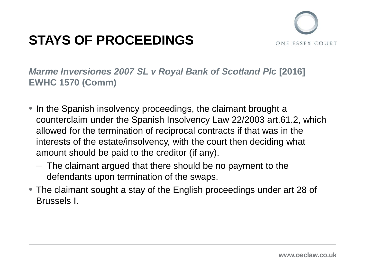## **STAYS OF PROCEEDINGS**



*Marme Inversiones 2007 SL v Royal Bank of Scotland Plc* **[2016] EWHC 1570 (Comm)**

- In the Spanish insolvency proceedings, the claimant brought a counterclaim under the Spanish Insolvency Law 22/2003 art.61.2, which allowed for the termination of reciprocal contracts if that was in the interests of the estate/insolvency, with the court then deciding what amount should be paid to the creditor (if any).
	- $-$  The claimant argued that there should be no payment to the defendants upon termination of the swaps.
- The claimant sought a stay of the English proceedings under art 28 of Brussels I.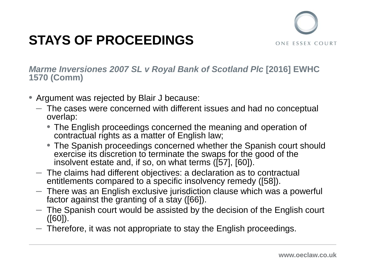

## **STAYS OF PROCEEDINGS**

*Marme Inversiones 2007 SL v Royal Bank of Scotland Plc* **[2016] EWHC 1570 (Comm)**

- Argument was rejected by Blair J because:
	- $-$  The cases were concerned with different issues and had no conceptual overlap:
		- The English proceedings concerned the meaning and operation of contractual rights as a matter of English law;
		- The Spanish proceedings concerned whether the Spanish court should exercise its discretion to terminate the swaps for the good of the insolvent estate and, if so, on what terms ([57], [60]).
	- The claims had different objectives: a declaration as to contractual entitlements compared to a specific insolvency remedy ([58]).
	- $-$  There was an English exclusive jurisdiction clause which was a powerful factor against the granting of a stay ([66]).
	- $-$  The Spanish court would be assisted by the decision of the English court  $([60])$ .
	- $-$  Therefore, it was not appropriate to stay the English proceedings.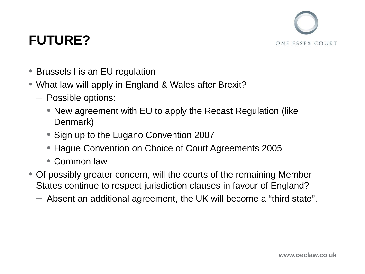

## **FUTURE?**

- Brussels I is an EU regulation
- What law will apply in England & Wales after Brexit?
	- Possible options:
		- New agreement with EU to apply the Recast Regulation (like Denmark)
		- Sign up to the Lugano Convention 2007
		- Hague Convention on Choice of Court Agreements 2005
		- Common law
- Of possibly greater concern, will the courts of the remaining Member States continue to respect jurisdiction clauses in favour of England?
	- Absent an additional agreement, the UK will become a "third state".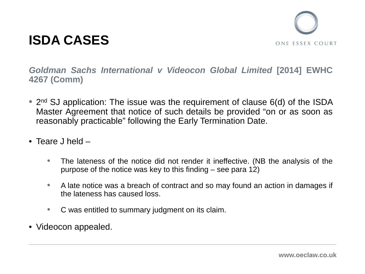

*Goldman Sachs International v Videocon Global Limited* **[2014] EWHC 4267 (Comm)**

- 2<sup>nd</sup> SJ application: The issue was the requirement of clause 6(d) of the ISDA Master Agreement that notice of such details be provided "on or as soon as reasonably practicable" following the Early Termination Date.
- Teare J held
	- The lateness of the notice did not render it ineffective. (NB the analysis of the purpose of the notice was key to this finding – see para 12)
	- A late notice was a breach of contract and so may found an action in damages if the lateness has caused loss.
	- C was entitled to summary judgment on its claim.
- Videocon appealed.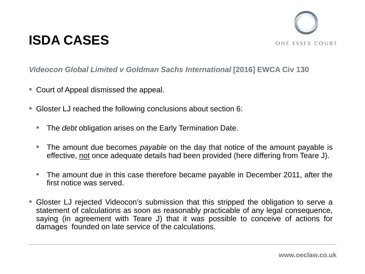

#### *Videocon Global Limited v Goldman Sachs International* **[2016] EWCA Civ 130**

- Court of Appeal dismissed the appeal.
- Gloster LJ reached the following conclusions about section 6:
	- The *debt* obligation arises on the Early Termination Date.
	- The amount due becomes *payable* on the day that notice of the amount payable is effective, not once adequate details had been provided (here differing from Teare J).
	- The amount due in this case therefore became payable in December 2011, after the first notice was served.
- Gloster LJ rejected Videocon's submission that this stripped the obligation to serve a statement of calculations as soon as reasonably practicable of any legal consequence, saying (in agreement with Teare J) that it was possible to conceive of actions for damages founded on late service of the calculations.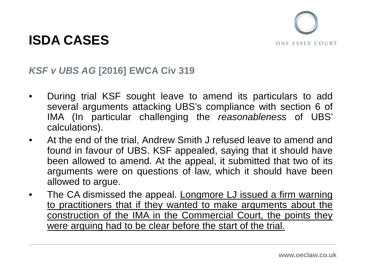

#### *KSF v UBS AG* **[2016] EWCA Civ 319**

- During trial KSF sought leave to amend its particulars to add several arguments attacking UBS's compliance with section 6 of IMA (In particular challenging the *reasonableness* of UBS' calculations).
- At the end of the trial, Andrew Smith J refused leave to amend and found in favour of UBS. KSF appealed, saying that it should have been allowed to amend. At the appeal, it submitted that two of its arguments were on questions of law, which it should have been allowed to argue.
- The CA dismissed the appeal. Longmore LJ issued a firm warning to practitioners that if they wanted to make arguments about the construction of the IMA in the Commercial Court, the points they were arguing had to be clear before the start of the trial.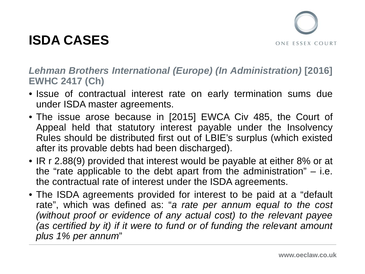

#### *Lehman Brothers International (Europe) (In Administration)* **[2016] EWHC 2417 (Ch)**

- Issue of contractual interest rate on early termination sums due under ISDA master agreements.
- The issue arose because in [2015] EWCA Civ 485, the Court of Appeal held that statutory interest payable under the Insolvency Rules should be distributed first out of LBIE's surplus (which existed after its provable debts had been discharged).
- IR r 2.88(9) provided that interest would be payable at either 8% or at the "rate applicable to the debt apart from the administration" – i.e. the contractual rate of interest under the ISDA agreements.
- The ISDA agreements provided for interest to be paid at a "default rate", which was defined as: "*a rate per annum equal to the cost (without proof or evidence of any actual cost) to the relevant payee (as certified by it) if it were to fund or of funding the relevant amount plus 1% per annum*"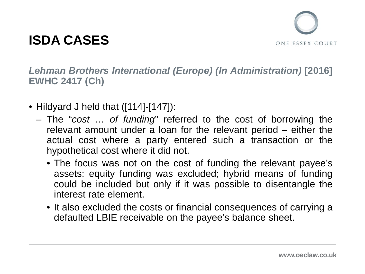

*Lehman Brothers International (Europe) (In Administration)* **[2016] EWHC 2417 (Ch)**

- Hildyard J held that ([114]-[147]):
	- The "*cost … of funding*" referred to the cost of borrowing the relevant amount under a loan for the relevant period – either the actual cost where a party entered such a transaction or the hypothetical cost where it did not.
		- The focus was not on the cost of funding the relevant payee's assets: equity funding was excluded; hybrid means of funding could be included but only if it was possible to disentangle the interest rate element.
		- It also excluded the costs or financial consequences of carrying a defaulted LBIE receivable on the payee's balance sheet.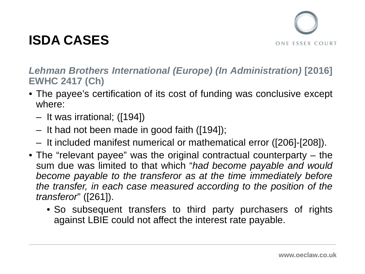

#### *Lehman Brothers International (Europe) (In Administration)* **[2016] EWHC 2417 (Ch)**

- The payee's certification of its cost of funding was conclusive except where:
	- It was irrational; ([194])
	- It had not been made in good faith ([194]);
	- It included manifest numerical or mathematical error ([206]-[208]).
- The "relevant payee" was the original contractual counterparty the sum due was limited to that which "*had become payable and would become payable to the transferor as at the time immediately before the transfer, in each case measured according to the position of the transferor*" ([261]).
	- So subsequent transfers to third party purchasers of rights against LBIE could not affect the interest rate payable.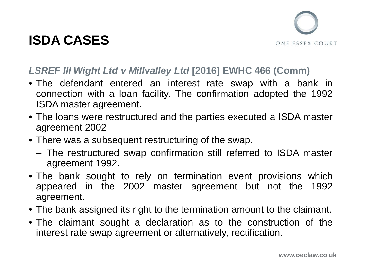



#### *LSREF III Wight Ltd v Millvalley Ltd* **[2016] EWHC 466 (Comm)**

- The defendant entered an interest rate swap with a bank in connection with a loan facility. The confirmation adopted the 1992 ISDA master agreement.
- The loans were restructured and the parties executed a ISDA master agreement 2002
- There was a subsequent restructuring of the swap.
	- The restructured swap confirmation still referred to ISDA master agreement 1992.
- The bank sought to rely on termination event provisions which appeared in the 2002 master agreement but not the 1992 agreement.
- The bank assigned its right to the termination amount to the claimant.
- The claimant sought a declaration as to the construction of the interest rate swap agreement or alternatively, rectification.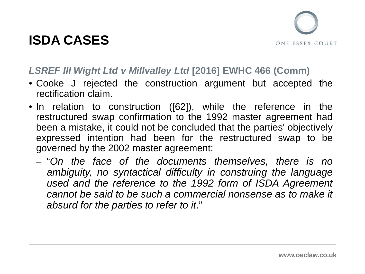



#### *LSREF III Wight Ltd v Millvalley Ltd* **[2016] EWHC 466 (Comm)**

- Cooke J rejected the construction argument but accepted the rectification claim.
- In relation to construction ([62]), while the reference in the restructured swap confirmation to the 1992 master agreement had been a mistake, it could not be concluded that the parties' objectively expressed intention had been for the restructured swap to be governed by the 2002 master agreement:
	- "*On the face of the documents themselves, there is no ambiguity, no syntactical difficulty in construing the language used and the reference to the 1992 form of ISDA Agreement cannot be said to be such a commercial nonsense as to make it absurd for the parties to refer to it*."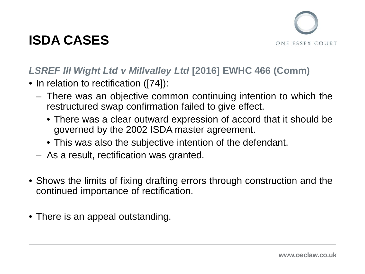

### *LSREF III Wight Ltd v Millvalley Ltd* **[2016] EWHC 466 (Comm)**

- In relation to rectification ([74]):
	- There was an objective common continuing intention to which the restructured swap confirmation failed to give effect.
		- There was a clear outward expression of accord that it should be governed by the 2002 ISDA master agreement.
		- This was also the subjective intention of the defendant.
	- As a result, rectification was granted.
- Shows the limits of fixing drafting errors through construction and the continued importance of rectification.
- There is an appeal outstanding.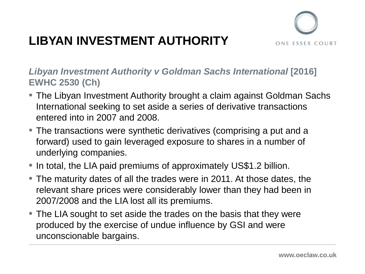

- The Libyan Investment Authority brought a claim against Goldman Sachs International seeking to set aside a series of derivative transactions entered into in 2007 and 2008.
- The transactions were synthetic derivatives (comprising a put and a forward) used to gain leveraged exposure to shares in a number of underlying companies.
- In total, the LIA paid premiums of approximately US\$1.2 billion.
- The maturity dates of all the trades were in 2011. At those dates, the relevant share prices were considerably lower than they had been in 2007/2008 and the LIA lost all its premiums.
- The LIA sought to set aside the trades on the basis that they were produced by the exercise of undue influence by GSI and were unconscionable bargains.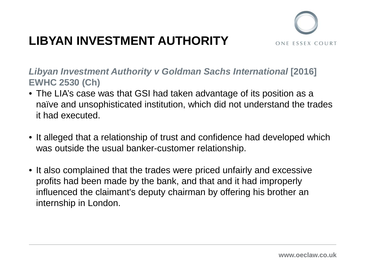

- The LIA's case was that GSI had taken advantage of its position as a naïve and unsophisticated institution, which did not understand the trades it had executed.
- It alleged that a relationship of trust and confidence had developed which was outside the usual banker-customer relationship.
- It also complained that the trades were priced unfairly and excessive profits had been made by the bank, and that and it had improperly influenced the claimant's deputy chairman by offering his brother an internship in London.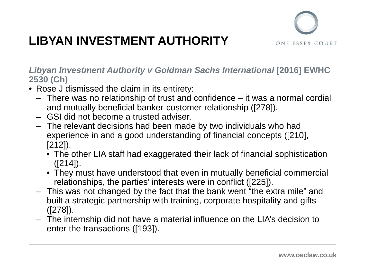

- Rose J dismissed the claim in its entirety:
	- There was no relationship of trust and confidence it was a normal cordial and mutually beneficial banker-customer relationship ([278]).
	- GSI did not become a trusted adviser.
	- The relevant decisions had been made by two individuals who had experience in and a good understanding of financial concepts ([210], [212]).
		- The other LIA staff had exaggerated their lack of financial sophistication  $([214]).$
		- They must have understood that even in mutually beneficial commercial relationships, the parties' interests were in conflict ([225]).
	- This was not changed by the fact that the bank went "the extra mile" and built a strategic partnership with training, corporate hospitality and gifts ([278]).
	- The internship did not have a material influence on the LIA's decision to enter the transactions ([193]).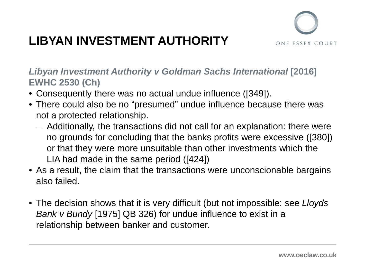

- Consequently there was no actual undue influence ([349]).
- There could also be no "presumed" undue influence because there was not a protected relationship.
	- Additionally, the transactions did not call for an explanation: there were no grounds for concluding that the banks profits were excessive ([380]) or that they were more unsuitable than other investments which the LIA had made in the same period ([424])
- As a result, the claim that the transactions were unconscionable bargains also failed.
- The decision shows that it is very difficult (but not impossible: see *Lloyds Bank v Bundy* [1975] QB 326) for undue influence to exist in a relationship between banker and customer.